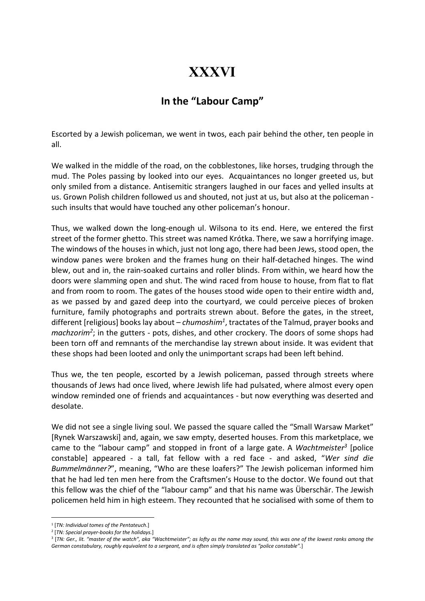## XXXVI

## In the "Labour Camp"

Escorted by a Jewish policeman, we went in twos, each pair behind the other, ten people in all.

We walked in the middle of the road, on the cobblestones, like horses, trudging through the mud. The Poles passing by looked into our eyes. Acquaintances no longer greeted us, but only smiled from a distance. Antisemitic strangers laughed in our faces and yelled insults at us. Grown Polish children followed us and shouted, not just at us, but also at the policeman such insults that would have touched any other policeman's honour.

Thus, we walked down the long-enough ul. Wilsona to its end. Here, we entered the first street of the former ghetto. This street was named Krótka. There, we saw a horrifying image. The windows of the houses in which, just not long ago, there had been Jews, stood open, the window panes were broken and the frames hung on their half-detached hinges. The wind blew, out and in, the rain-soaked curtains and roller blinds. From within, we heard how the doors were slamming open and shut. The wind raced from house to house, from flat to flat and from room to room. The gates of the houses stood wide open to their entire width and, as we passed by and gazed deep into the courtyard, we could perceive pieces of broken furniture, family photographs and portraits strewn about. Before the gates, in the street, different [religious] books lay about - chumoshim<sup>1</sup>, tractates of the Talmud, prayer books and machzorim<sup>2</sup>; in the gutters - pots, dishes, and other crockery. The doors of some shops had been torn off and remnants of the merchandise lay strewn about inside. It was evident that these shops had been looted and only the unimportant scraps had been left behind.

Thus we, the ten people, escorted by a Jewish policeman, passed through streets where thousands of Jews had once lived, where Jewish life had pulsated, where almost every open window reminded one of friends and acquaintances - but now everything was deserted and desolate.

We did not see a single living soul. We passed the square called the "Small Warsaw Market" [Rynek Warszawski] and, again, we saw empty, deserted houses. From this marketplace, we came to the "labour camp" and stopped in front of a large gate. A Wachtmeister<sup>3</sup> [police constable] appeared - a tall, fat fellow with a red face - and asked, "Wer sind die Bummelmänner?", meaning, "Who are these loafers?" The Jewish policeman informed him that he had led ten men here from the Craftsmen's House to the doctor. We found out that this fellow was the chief of the "labour camp" and that his name was Überschär. The Jewish policemen held him in high esteem. They recounted that he socialised with some of them to

<sup>&</sup>lt;sup>1</sup> [TN: Individual tomes of the Pentateuch.]

<sup>&</sup>lt;sup>2</sup> [TN: Special prayer-books for the holidays.]

<sup>3</sup> [TN: Ger., lit. "master of the watch", aka "Wachtmeister"; as lofty as the name may sound, this was one of the lowest ranks among the German constabulary, roughly equivalent to a sergeant, and is often simply translated as "police constable".]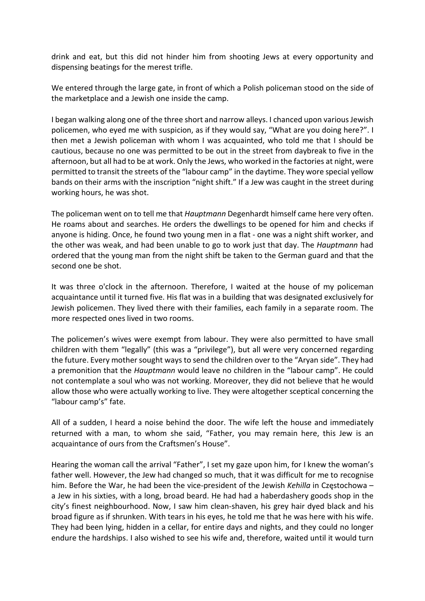drink and eat, but this did not hinder him from shooting Jews at every opportunity and dispensing beatings for the merest trifle.

We entered through the large gate, in front of which a Polish policeman stood on the side of the marketplace and a Jewish one inside the camp.

I began walking along one of the three short and narrow alleys. I chanced upon various Jewish policemen, who eyed me with suspicion, as if they would say, "What are you doing here?". I then met a Jewish policeman with whom I was acquainted, who told me that I should be cautious, because no one was permitted to be out in the street from daybreak to five in the afternoon, but all had to be at work. Only the Jews, who worked in the factories at night, were permitted to transit the streets of the "labour camp" in the daytime. They wore special yellow bands on their arms with the inscription "night shift." If a Jew was caught in the street during working hours, he was shot.

The policeman went on to tell me that *Hauptmann* Degenhardt himself came here very often. He roams about and searches. He orders the dwellings to be opened for him and checks if anyone is hiding. Once, he found two young men in a flat - one was a night shift worker, and the other was weak, and had been unable to go to work just that day. The Hauptmann had ordered that the young man from the night shift be taken to the German guard and that the second one be shot.

It was three o'clock in the afternoon. Therefore, I waited at the house of my policeman acquaintance until it turned five. His flat was in a building that was designated exclusively for Jewish policemen. They lived there with their families, each family in a separate room. The more respected ones lived in two rooms.

The policemen's wives were exempt from labour. They were also permitted to have small children with them "legally" (this was a "privilege"), but all were very concerned regarding the future. Every mother sought ways to send the children over to the "Aryan side". They had a premonition that the Hauptmann would leave no children in the "labour camp". He could not contemplate a soul who was not working. Moreover, they did not believe that he would allow those who were actually working to live. They were altogether sceptical concerning the "labour camp's" fate.

All of a sudden, I heard a noise behind the door. The wife left the house and immediately returned with a man, to whom she said, "Father, you may remain here, this Jew is an acquaintance of ours from the Craftsmen's House".

Hearing the woman call the arrival "Father", I set my gaze upon him, for I knew the woman's father well. However, the Jew had changed so much, that it was difficult for me to recognise him. Before the War, he had been the vice-president of the Jewish Kehilla in Częstochowa a Jew in his sixties, with a long, broad beard. He had had a haberdashery goods shop in the city's finest neighbourhood. Now, I saw him clean-shaven, his grey hair dyed black and his broad figure as if shrunken. With tears in his eyes, he told me that he was here with his wife. They had been lying, hidden in a cellar, for entire days and nights, and they could no longer endure the hardships. I also wished to see his wife and, therefore, waited until it would turn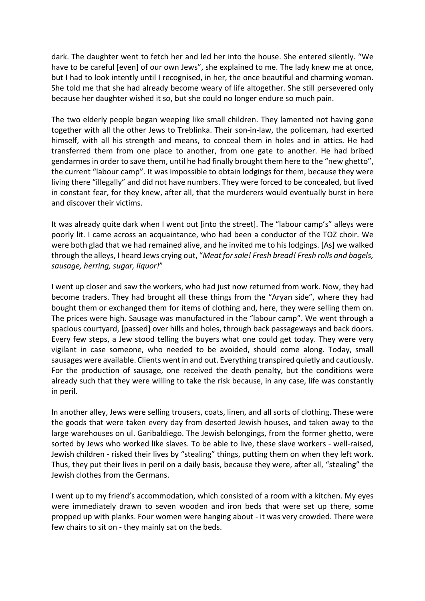dark. The daughter went to fetch her and led her into the house. She entered silently. "We have to be careful [even] of our own Jews", she explained to me. The lady knew me at once, but I had to look intently until I recognised, in her, the once beautiful and charming woman. She told me that she had already become weary of life altogether. She still persevered only because her daughter wished it so, but she could no longer endure so much pain.

The two elderly people began weeping like small children. They lamented not having gone together with all the other Jews to Treblinka. Their son-in-law, the policeman, had exerted himself, with all his strength and means, to conceal them in holes and in attics. He had transferred them from one place to another, from one gate to another. He had bribed gendarmes in order to save them, until he had finally brought them here to the "new ghetto", the current "labour camp". It was impossible to obtain lodgings for them, because they were living there "illegally" and did not have numbers. They were forced to be concealed, but lived in constant fear, for they knew, after all, that the murderers would eventually burst in here and discover their victims.

It was already quite dark when I went out [into the street]. The "labour camp's" alleys were poorly lit. I came across an acquaintance, who had been a conductor of the TOZ choir. We were both glad that we had remained alive, and he invited me to his lodgings. [As] we walked through the alleys, I heard Jews crying out, "Meat for sale! Fresh bread! Fresh rolls and bagels, sausage, herring, sugar, liquor!"

I went up closer and saw the workers, who had just now returned from work. Now, they had become traders. They had brought all these things from the "Aryan side", where they had bought them or exchanged them for items of clothing and, here, they were selling them on. The prices were high. Sausage was manufactured in the "labour camp". We went through a spacious courtyard, [passed] over hills and holes, through back passageways and back doors. Every few steps, a Jew stood telling the buyers what one could get today. They were very vigilant in case someone, who needed to be avoided, should come along. Today, small sausages were available. Clients went in and out. Everything transpired quietly and cautiously. For the production of sausage, one received the death penalty, but the conditions were already such that they were willing to take the risk because, in any case, life was constantly in peril.

In another alley, Jews were selling trousers, coats, linen, and all sorts of clothing. These were the goods that were taken every day from deserted Jewish houses, and taken away to the large warehouses on ul. Garibaldiego. The Jewish belongings, from the former ghetto, were sorted by Jews who worked like slaves. To be able to live, these slave workers - well-raised, Jewish children - risked their lives by "stealing" things, putting them on when they left work. Thus, they put their lives in peril on a daily basis, because they were, after all, "stealing" the Jewish clothes from the Germans.

I went up to my friend's accommodation, which consisted of a room with a kitchen. My eyes were immediately drawn to seven wooden and iron beds that were set up there, some propped up with planks. Four women were hanging about - it was very crowded. There were few chairs to sit on - they mainly sat on the beds.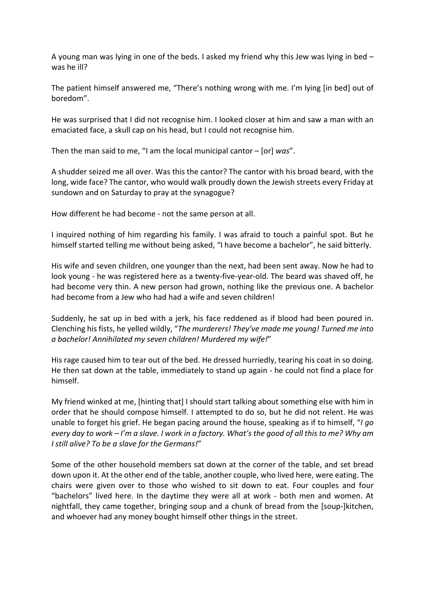A young man was lying in one of the beds. I asked my friend why this Jew was lying in bed – was he ill?

The patient himself answered me, "There's nothing wrong with me. I'm lying [in bed] out of boredom".

He was surprised that I did not recognise him. I looked closer at him and saw a man with an emaciated face, a skull cap on his head, but I could not recognise him.

Then the man said to me, "I am the local municipal cantor  $-$  [or] was".

A shudder seized me all over. Was this the cantor? The cantor with his broad beard, with the long, wide face? The cantor, who would walk proudly down the Jewish streets every Friday at sundown and on Saturday to pray at the synagogue?

How different he had become - not the same person at all.

I inquired nothing of him regarding his family. I was afraid to touch a painful spot. But he himself started telling me without being asked, "I have become a bachelor", he said bitterly.

His wife and seven children, one younger than the next, had been sent away. Now he had to look young - he was registered here as a twenty-five-year-old. The beard was shaved off, he had become very thin. A new person had grown, nothing like the previous one. A bachelor had become from a Jew who had had a wife and seven children!

Suddenly, he sat up in bed with a jerk, his face reddened as if blood had been poured in. Clenching his fists, he yelled wildly, "The murderers! They've made me young! Turned me into a bachelor! Annihilated my seven children! Murdered my wife!"

His rage caused him to tear out of the bed. He dressed hurriedly, tearing his coat in so doing. He then sat down at the table, immediately to stand up again - he could not find a place for himself.

My friend winked at me, [hinting that] I should start talking about something else with him in order that he should compose himself. I attempted to do so, but he did not relent. He was unable to forget his grief. He began pacing around the house, speaking as if to himself, "I go every day to work – I'm a slave. I work in a factory. What's the good of all this to me? Why am I still alive? To be a slave for the Germans!"

Some of the other household members sat down at the corner of the table, and set bread down upon it. At the other end of the table, another couple, who lived here, were eating. The chairs were given over to those who wished to sit down to eat. Four couples and four "bachelors" lived here. In the daytime they were all at work - both men and women. At nightfall, they came together, bringing soup and a chunk of bread from the [soup-]kitchen, and whoever had any money bought himself other things in the street.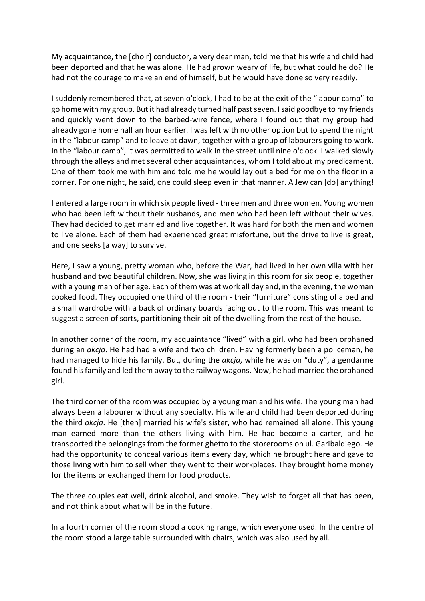My acquaintance, the [choir] conductor, a very dear man, told me that his wife and child had been deported and that he was alone. He had grown weary of life, but what could he do? He had not the courage to make an end of himself, but he would have done so very readily.

I suddenly remembered that, at seven o'clock, I had to be at the exit of the "labour camp" to go home with my group. But it had already turned half past seven. I said goodbye to my friends and quickly went down to the barbed-wire fence, where I found out that my group had already gone home half an hour earlier. I was left with no other option but to spend the night in the "labour camp" and to leave at dawn, together with a group of labourers going to work. In the "labour camp", it was permitted to walk in the street until nine o'clock. I walked slowly through the alleys and met several other acquaintances, whom I told about my predicament. One of them took me with him and told me he would lay out a bed for me on the floor in a corner. For one night, he said, one could sleep even in that manner. A Jew can [do] anything!

I entered a large room in which six people lived - three men and three women. Young women who had been left without their husbands, and men who had been left without their wives. They had decided to get married and live together. It was hard for both the men and women to live alone. Each of them had experienced great misfortune, but the drive to live is great, and one seeks [a way] to survive.

Here, I saw a young, pretty woman who, before the War, had lived in her own villa with her husband and two beautiful children. Now, she was living in this room for six people, together with a young man of her age. Each of them was at work all day and, in the evening, the woman cooked food. They occupied one third of the room - their "furniture" consisting of a bed and a small wardrobe with a back of ordinary boards facing out to the room. This was meant to suggest a screen of sorts, partitioning their bit of the dwelling from the rest of the house.

In another corner of the room, my acquaintance "lived" with a girl, who had been orphaned during an *akcja*. He had had a wife and two children. Having formerly been a policeman, he had managed to hide his family. But, during the *akcja*, while he was on "duty", a gendarme found his family and led them away to the railway wagons. Now, he had married the orphaned girl.

The third corner of the room was occupied by a young man and his wife. The young man had always been a labourer without any specialty. His wife and child had been deported during the third akcja. He [then] married his wife's sister, who had remained all alone. This young man earned more than the others living with him. He had become a carter, and he transported the belongings from the former ghetto to the storerooms on ul. Garibaldiego. He had the opportunity to conceal various items every day, which he brought here and gave to those living with him to sell when they went to their workplaces. They brought home money for the items or exchanged them for food products.

The three couples eat well, drink alcohol, and smoke. They wish to forget all that has been, and not think about what will be in the future.

In a fourth corner of the room stood a cooking range, which everyone used. In the centre of the room stood a large table surrounded with chairs, which was also used by all.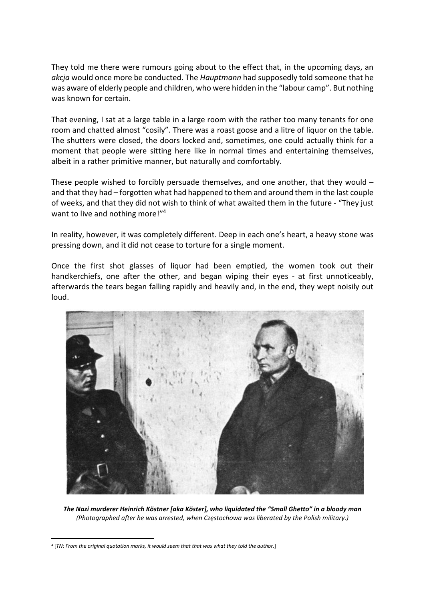They told me there were rumours going about to the effect that, in the upcoming days, an akcja would once more be conducted. The Hauptmann had supposedly told someone that he was aware of elderly people and children, who were hidden in the "labour camp". But nothing was known for certain.

That evening, I sat at a large table in a large room with the rather too many tenants for one room and chatted almost "cosily". There was a roast goose and a litre of liquor on the table. The shutters were closed, the doors locked and, sometimes, one could actually think for a moment that people were sitting here like in normal times and entertaining themselves, albeit in a rather primitive manner, but naturally and comfortably.

These people wished to forcibly persuade themselves, and one another, that they would – and that they had – forgotten what had happened to them and around them in the last couple of weeks, and that they did not wish to think of what awaited them in the future - "They just want to live and nothing more!"<sup>4</sup>

In reality, however, it was completely different. Deep in each one's heart, a heavy stone was pressing down, and it did not cease to torture for a single moment.

Once the first shot glasses of liquor had been emptied, the women took out their handkerchiefs, one after the other, and began wiping their eyes - at first unnoticeably, afterwards the tears began falling rapidly and heavily and, in the end, they wept noisily out loud.



The Nazi murderer Heinrich Köstner [aka Köster], who liquidated the "Small Ghetto" in a bloody man (Photographed after he was arrested, when Częstochowa was liberated by the Polish military.)

<sup>4</sup> [TN: From the original quotation marks, it would seem that that was what they told the author.]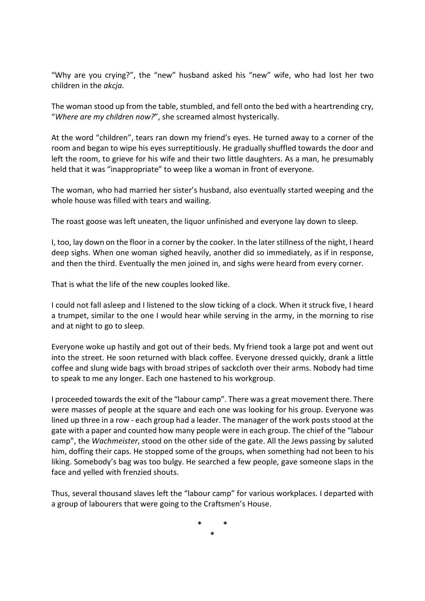"Why are you crying?", the "new" husband asked his "new" wife, who had lost her two children in the akcja.

The woman stood up from the table, stumbled, and fell onto the bed with a heartrending cry, "Where are my children now?", she screamed almost hysterically.

At the word "children", tears ran down my friend's eyes. He turned away to a corner of the room and began to wipe his eyes surreptitiously. He gradually shuffled towards the door and left the room, to grieve for his wife and their two little daughters. As a man, he presumably held that it was "inappropriate" to weep like a woman in front of everyone.

The woman, who had married her sister's husband, also eventually started weeping and the whole house was filled with tears and wailing.

The roast goose was left uneaten, the liquor unfinished and everyone lay down to sleep.

I, too, lay down on the floor in a corner by the cooker. In the later stillness of the night, I heard deep sighs. When one woman sighed heavily, another did so immediately, as if in response, and then the third. Eventually the men joined in, and sighs were heard from every corner.

That is what the life of the new couples looked like.

I could not fall asleep and I listened to the slow ticking of a clock. When it struck five, I heard a trumpet, similar to the one I would hear while serving in the army, in the morning to rise and at night to go to sleep.

Everyone woke up hastily and got out of their beds. My friend took a large pot and went out into the street. He soon returned with black coffee. Everyone dressed quickly, drank a little coffee and slung wide bags with broad stripes of sackcloth over their arms. Nobody had time to speak to me any longer. Each one hastened to his workgroup.

I proceeded towards the exit of the "labour camp". There was a great movement there. There were masses of people at the square and each one was looking for his group. Everyone was lined up three in a row - each group had a leader. The manager of the work posts stood at the gate with a paper and counted how many people were in each group. The chief of the "labour camp", the Wachmeister, stood on the other side of the gate. All the Jews passing by saluted him, doffing their caps. He stopped some of the groups, when something had not been to his liking. Somebody's bag was too bulgy. He searched a few people, gave someone slaps in the face and yelled with frenzied shouts.

Thus, several thousand slaves left the "labour camp" for various workplaces. I departed with a group of labourers that were going to the Craftsmen's House.

> \* \* \*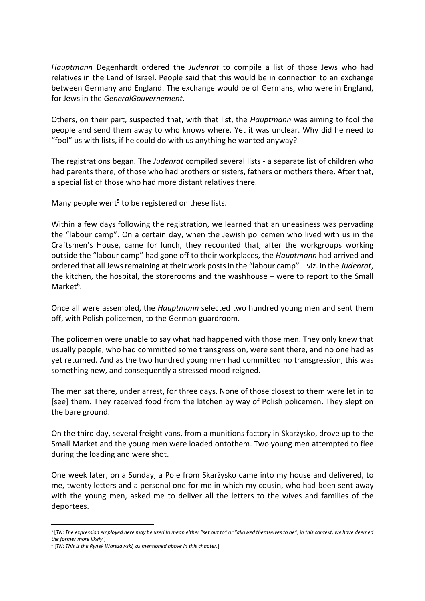Hauptmann Degenhardt ordered the Judenrat to compile a list of those Jews who had relatives in the Land of Israel. People said that this would be in connection to an exchange between Germany and England. The exchange would be of Germans, who were in England, for Jews in the GeneralGouvernement.

Others, on their part, suspected that, with that list, the *Hauptmann* was aiming to fool the people and send them away to who knows where. Yet it was unclear. Why did he need to "fool" us with lists, if he could do with us anything he wanted anyway?

The registrations began. The *Judenrat* compiled several lists - a separate list of children who had parents there, of those who had brothers or sisters, fathers or mothers there. After that, a special list of those who had more distant relatives there.

Many people went<sup>5</sup> to be registered on these lists.

Within a few days following the registration, we learned that an uneasiness was pervading the "labour camp". On a certain day, when the Jewish policemen who lived with us in the Craftsmen's House, came for lunch, they recounted that, after the workgroups working outside the "labour camp" had gone off to their workplaces, the Hauptmann had arrived and ordered that all Jews remaining at their work posts in the "labour camp" – viz. in the Judenrat, the kitchen, the hospital, the storerooms and the washhouse – were to report to the Small Market<sup>6</sup>.

Once all were assembled, the Hauptmann selected two hundred young men and sent them off, with Polish policemen, to the German guardroom.

The policemen were unable to say what had happened with those men. They only knew that usually people, who had committed some transgression, were sent there, and no one had as yet returned. And as the two hundred young men had committed no transgression, this was something new, and consequently a stressed mood reigned.

The men sat there, under arrest, for three days. None of those closest to them were let in to [see] them. They received food from the kitchen by way of Polish policemen. They slept on the bare ground.

On the third day, several freight vans, from a munitions factory in Skarżysko, drove up to the Small Market and the young men were loaded ontothem. Two young men attempted to flee during the loading and were shot.

One week later, on a Sunday, a Pole from Skarżysko came into my house and delivered, to me, twenty letters and a personal one for me in which my cousin, who had been sent away with the young men, asked me to deliver all the letters to the wives and families of the deportees.

<sup>5</sup> [TN: The expression employed here may be used to mean either "set out to" or "allowed themselves to be"; in this context, we have deemed the former more likely.]

<sup>&</sup>lt;sup>6</sup> [TN: This is the Rynek Warszawski, as mentioned above in this chapter.]